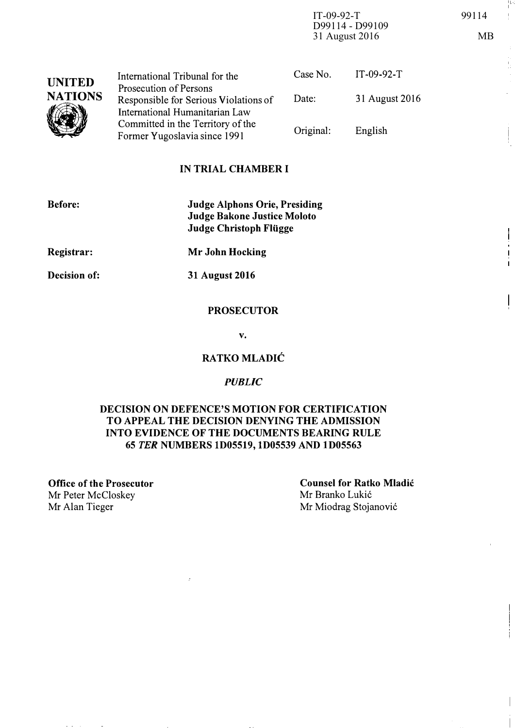IT-09-92-T 99114 D99114 - D99109 31 August 2016 MB

| <b>UNITED</b><br><b>NATIONS</b> | International Tribunal for the                                      | Case No.  | $IT-09-92-T$   |
|---------------------------------|---------------------------------------------------------------------|-----------|----------------|
|                                 | Prosecution of Persons<br>Responsible for Serious Violations of     | Date:     | 31 August 2016 |
|                                 | International Humanitarian Law<br>Committed in the Territory of the | Original: | English        |
|                                 | Former Yugoslavia since 1991                                        |           |                |

## IN TRIAL CHAMBER I

| <b>Before:</b> | <b>Judge Alphons Orie, Presiding</b><br>Judge Bakone Justice Moloto<br><b>Judge Christoph Flügge</b> |
|----------------|------------------------------------------------------------------------------------------------------|
| Registrar:     | Mr John Hocking                                                                                      |
| Decision of:   | 31 August 2016                                                                                       |

## **PROSECUTOR**

v.

## RATKO MLADIC

#### **PUBLIC**

## DECISION ON DEFENCE'S MOTION FOR CERTIFICATION TO APPEAL THE DECISION DENYING THE ADMISSION INTO EVIDENCE OF THE DOCUMENTS BEARING RULE 65 TER NUMBERS lD05519, lD05539 AND lD05563

Office of the Prosecutor Mr Peter McCloskey Mr Alan Tieger Mr Miodrag Stojanović

Counsel for Ratko Mladic Mr Branko Lukić

-11- I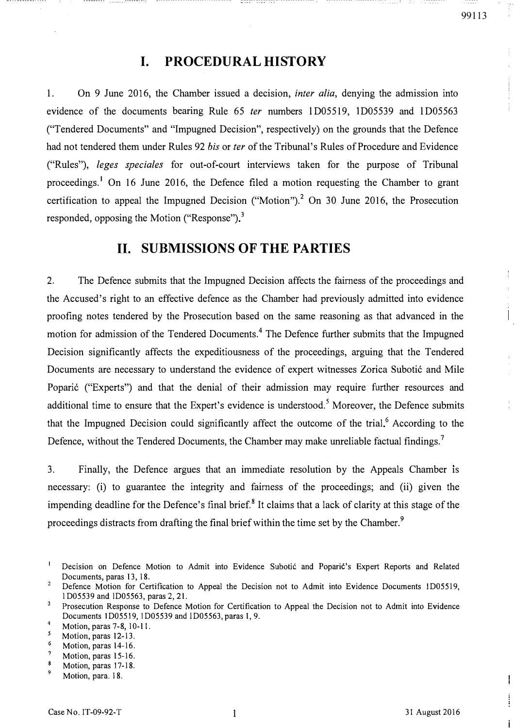# I. PROCEDURAL HISTORY

1. On 9 June 2016, the Chamber issued a decision, inter alia, denying the admission into evidence of the documents bearing Rule 65 ter numbers 1D05519, 1D05539 and 1D05563 ("Tendered Documents" and "Impugned Decision", respectively) on the grounds that the Defence had not tendered them under Rules 92 bis or ter of the Tribunal's Rules of Procedure and Evidence ("Rules"), leges speciales for out-of-court interviews taken for the purpose of Tribunal proceedings.<sup>1</sup> On 16 June 2016, the Defence filed a motion requesting the Chamber to grant certification to appeal the Impugned Decision ("Motion").<sup>2</sup> On 30 June 2016, the Prosecution responded, opposing the Motion ("Response")<sup>3</sup>

## 11. SUBMISSIONS OF THE PARTIES

2. The Defence submits that the Impugned Decision affects the fairness of the proceedings and the Accused's right to an effective defence as the Chamber had previously admitted into evidence proofing notes tendered by the Prosecution based on the same reasoning as that advanced in the motion for admission of the Tendered Documents.<sup>4</sup> The Defence further submits that the Impugned Decision significantly affects the expeditiousness of the proceedings, arguing that the Tendered Documents are necessary to understand the evidence of expert witnesses Zorica Subotić and Mile Poparić ("Experts") and that the denial of their admission may require further resources and additional time to ensure that the Expert's evidence is understood.<sup>5</sup> Moreover, the Defence submits that the Impugned Decision could significantly affect the outcome of the trial.<sup>6</sup> According to the Defence, without the Tendered Documents, the Chamber may make unreliable factual findings.<sup>7</sup>

3. Finally, the Defence argues that an immediate resolution by the Appeals Chamber IS necessary: (i) to guarantee the integrity and fairness of the proceedings; and (ii) given the impending deadline for the Defence's final brief.<sup>8</sup> It claims that a lack of clarity at this stage of the proceedings distracts from drafting the final brief within the time set by the Chamber.<sup>9</sup>

 $\frac{1}{4}$ 

Ì

11, 11, 11,

 $\mathbf{I}$ Decision on Defence Motion to Admit into Evidence Subotic and Poparic's Expert Reports and Related Documents, paras 13, 18.  $\overline{2}$ 

Defence Motion for Certification to Appeal the Decision not to Admit into Evidence Documents ID05519, l D05539 and lD05563, paras 2, 21.

 $\overline{3}$ Prosecution Response to Defence Motion for Certification to Appeal the Decision not to Admit into Evidence Documents lD05519, lD05539 and ID05563, paras 1,9.

<sup>4</sup>  Motion, paras 7-8, 10-11. 5

Motion, paras 12-13. 6

Motion, paras 14-16.

 $\overline{1}$ Motion, paras 15-16.  $\mathbf{s}$ 

Motion, paras 17-18.

<sup>9</sup>  Motion, para. 18.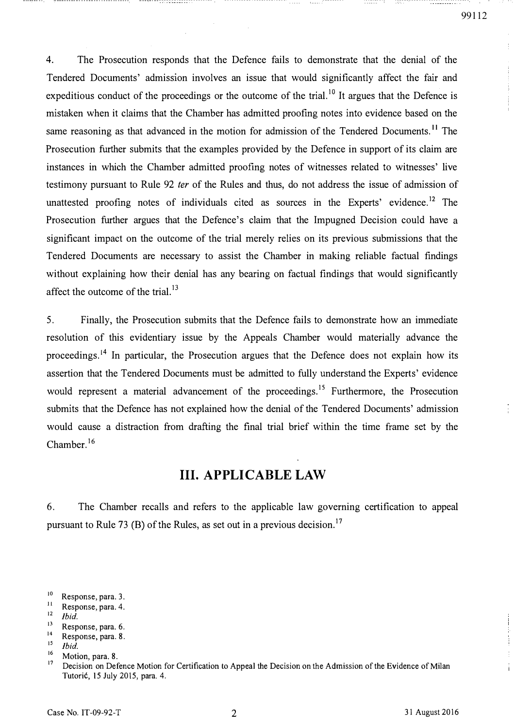---------

4. The Prosecution responds that the Defence fails to demonstrate that the denial of the Tendered Documents' admission involves an issue that would significantly affect the fair and expeditious conduct of the proceedings or the outcome of the trial.<sup>10</sup> It argues that the Defence is mistaken when it claims that the Chamber has admitted proofing notes into evidence based on the same reasoning as that advanced in the motion for admission of the Tendered Documents.<sup>11</sup> The Prosecution further submits that the examples provided by the Defence in support of its claim are instances in which the Chamber admitted proofing notes of witnesses related to witnesses' live testimony pursuant to Rule 92 fer of the Rules and thus, do not address the issue of admission of unattested proofing notes of individuals cited as sources in the Experts' evidence.<sup>12</sup> The Prosecution further argues that the Defence's claim that the Impugned Decision could have a significant impact on the outcome of the trial merely relies on its previous submissions that the Tendered Documents are necessary to assist the Chamber in making reliable factual findings without explaining how their denial has any bearing on factual findings that would significantly affect the outcome of the trial. $^{13}$ 

5. Finally, the Prosecution submits that the Defence fails to demonstrate how an immediate resolution of this evidentiary issue by the Appeals Chamber would materially advance the proceedings.<sup>14</sup> In particular, the Prosecution argues that the Defence does not explain how its assertion that the Tendered Documents must be admitted to fully understand the Experts' evidence would represent a material advancement of the proceedings.<sup>15</sup> Furthermore, the Prosecution submits that the Defence has not explained how the denial of the Tendered Documents' admission would cause a distraction from drafting the final trial brief within the time frame set by the Chamber. 16

## Ill. APPLICABLE LAW

6. The Chamber recalls and refers to the applicable law governing certification to appeal pursuant to Rule 73 (B) of the Rules, as set out in a previous decision.<sup>17</sup>

- Response, para. 4.
- $\frac{12}{13}$ Ibid.
- $13$  Response, para. 6.
- <sup>14</sup> Response, para. 8.
- Ibid.

 $^{10}$  Response, para. 3.

<sup>1</sup> Motion, para. 8.  $17$ 

Decision on Defence Motion for Certification to Appeal the Decision on the Admission of the Evidence of Milan Tutoric, 15 July 2015, para. 4.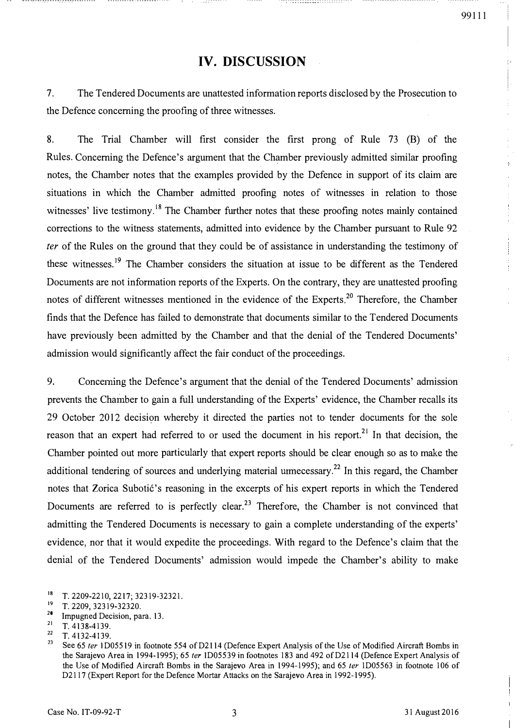$\hat{\mathcal{A}}$ 

# IV. DISCUSSION

7. The Tendered Documents are unattested information reports disclosed by the Prosecution to the Defence concerning the proofing of three witnesses.

8. The Trial Chamber will first consider the first prong of Rule 73 (B) of the Rules. Concerning the Defence's argument that the Chamber previously admitted similar proofing notes, the Chamber notes that the examples provided by the Defence in support of its claim are situations in which the Chamber admitted proofing notes of witnesses in relation to those witnesses' live testimony.<sup>18</sup> The Chamber further notes that these proofing notes mainly contained corrections to the witness statements, admitted into evidence by the Chamber pursuant to Rule 92 fer of the Rules on the ground that they could be of assistance in understanding the testimony of these witnesses.<sup>19</sup> The Chamber considers the situation at issue to be different as the Tendered Documents are not information reports of the Experts. On the contrary, they are unattested proofing notes of different witnesses mentioned in the evidence of the Experts.<sup>20</sup> Therefore, the Chamber finds that the Defence has failed to demonstrate that documents similar to the Tendered Documents have previously been admitted by the Chamber and that the denial of the Tendered Documents' admission would significantly affect the fair conduct of the proceedings.

9. Concerning the Defence's argument that the denial of the Tendered Documents' admission prevents the Chamber to gain a full understanding of the Experts' evidence, the Chamber recalls its 29 October 2012 decision whereby it directed the parties not to tender documents for the sole reason that an expert had referred to or used the document in his report.<sup>21</sup> In that decision, the Chamber pointed out more particularly that expert reports should be clear enough so as to make the additional tendering of sources and underlying material urmecessary.<sup>22</sup> In this regard, the Chamber notes that Zorica Subotić's reasoning in the excerpts of his expert reports in which the Tendered Documents are referred to is perfectly clear.<sup>23</sup> Therefore, the Chamber is not convinced that admitting the Tendered Documents is necessary to gain a complete understanding of the experts' evidence, nor that it would expedite the proceedings. With regard to the Defence's claim that the denial of the Tendered Documents' admission would impede the Chamber's ability to make

 $\frac{22}{23}$  T. 4132-4139.

 $18$  T. 2209-2210, 2217; 32319-32321.

 $19$  T. 2209, 32319-32320.

<sup>&</sup>lt;sup>20</sup> Impugned Decision, para. 13.

 $\frac{21}{22}$  T. 4138-4139.

See 65 ter 1D05519 in footnote 554 of D2114 (Defence Expert Analysis of the Use of Modified Aircraft Bombs in the Sarajevo Area in 1994-1995); 65 ter 1D05539 in footnotes 183 and 492 of D2114 (Defence Expert Analysis of the Use of Modified Aircraft Bombs in the Sarajevo Area in 1994-1995); and 65 ter 1D05563 in footnote 106 of D2117 (Expert Report for the Defence Mortar Attacks on the Sarajevo Area in 1992-1995).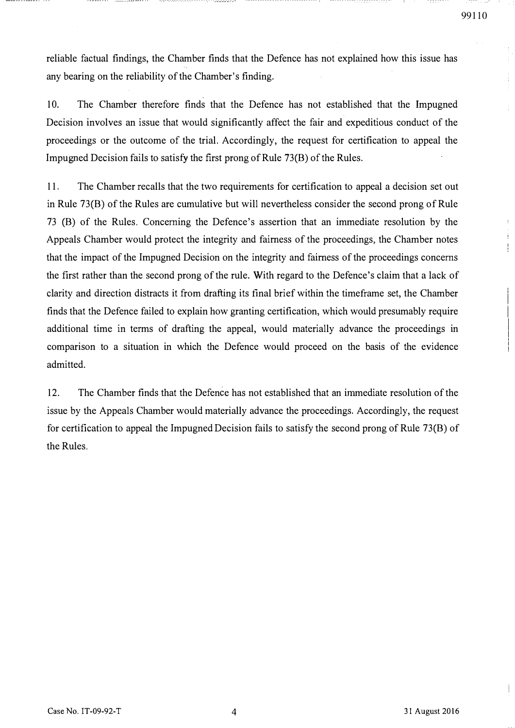ł.

reliable factual findings, the Chamber finds that the Defence has not explained how this issue has any bearing on the reliability of the Chamber's finding.

10. The Chamber therefore finds that the Defence has not established that the Impugned Decision involves an issue that would significantly affect the fair and expeditious conduct of the proceedings or the outcome of the trial. Accordingly, the request for certification to appeal the Impugned Decision fails to satisfy the first prong of Rule 73(B) of the Rules.

11. The Chamber recalls that the two requirements for certification to appeal a decision set out in Rule 73(B) of the Rules are cumulative but will nevertheless consider the second prong of Rule 73 (B) of the Rules. Concerning the Defence's assertion that an immediate resolution by the Appeals Chamber would protect the integrity and fairness of the proceedings, the Chamber notes that the impact of the Impugned Decision on the integrity and fairness of the proceedings concerns the first rather than the second prong of the rule. With regard to the Defence's claim that a lack of clarity and direction distracts it from drafting its final brief within the timeframe set, the Chamber finds that the Defence failed to explain how granting certification, which would presumably require additional time in terms of drafting the appeal, would materially advance the proceedings in comparison to a situation in which the Defence would proceed on the basis of the evidence admitted.

12. The Chamber finds that the Defence has not established that an immediate resolution of the issue by the Appeals Chamber would materially advance the proceedings. Accordingly, the request for certification to appeal the Impugned Decision fails to satisfy the second prong of Rule 73(B) of the Rules.